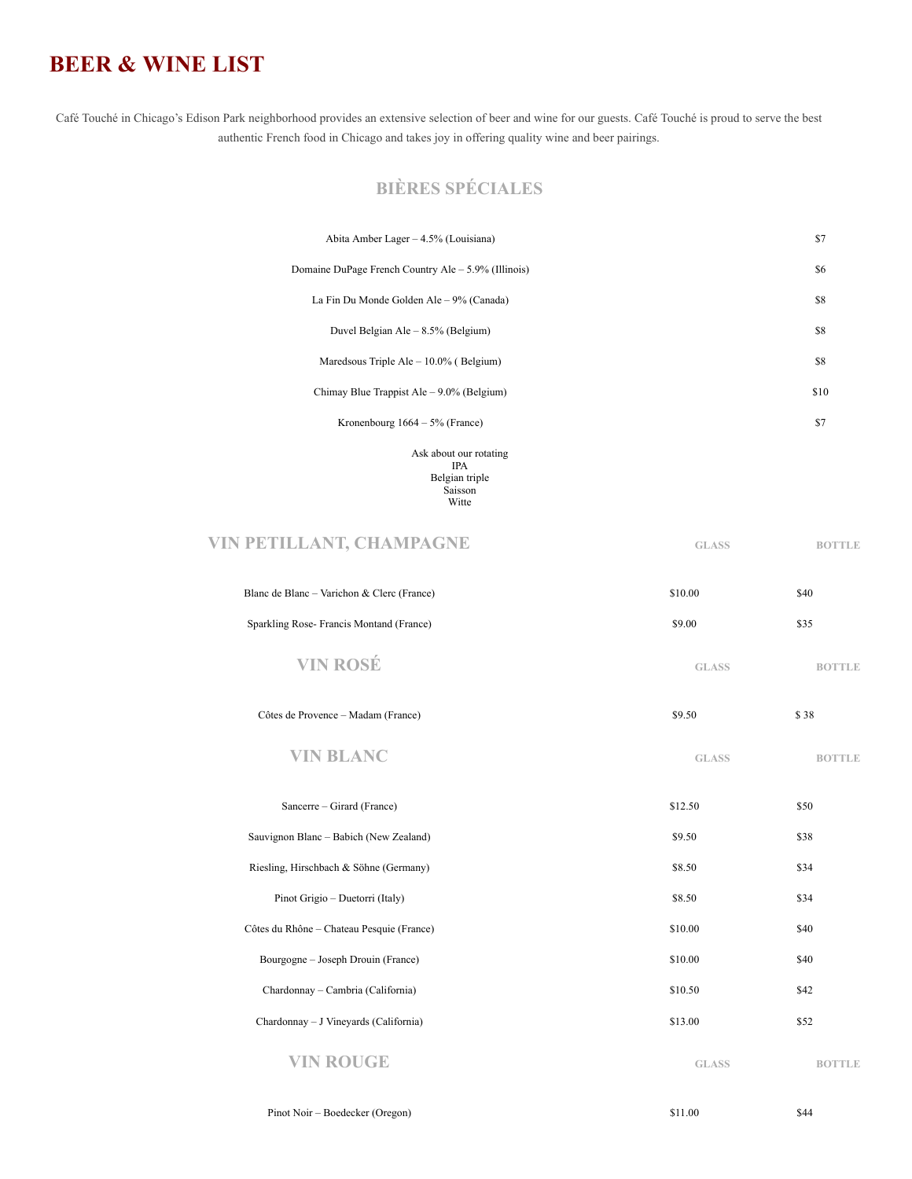## **BEER & WINE LIST**

Café Touché in Chicago's Edison Park neighborhood provides an extensive selection of beer and wine for our guests. Café Touché is proud to serve the best authentic French food in Chicago and takes joy in offering quality wine and beer pairings.

## **BIÈRES SPÉCIALES**

Saisson Witte

| Abita Amber Lager – 4.5% (Louisiana)                  | \$7  |
|-------------------------------------------------------|------|
| Domaine DuPage French Country Ale $-$ 5.9% (Illinois) | \$6  |
| La Fin Du Monde Golden Ale – 9% (Canada)              | \$8  |
| Duvel Belgian Ale $-8.5\%$ (Belgium)                  | \$8  |
| Maredsous Triple Ale $-10.0\%$ (Belgium)              | \$8  |
| Chimay Blue Trappist Ale $-9.0\%$ (Belgium)           | \$10 |
| Kronenbourg $1664 - 5\%$ (France)                     | \$7  |
| Ask about our rotating<br><b>IPA</b>                  |      |
| Belgian triple                                        |      |

| VIN PETILLANT, CHAMPAGNE                   | <b>GLASS</b> | <b>BOTTLE</b> |
|--------------------------------------------|--------------|---------------|
| Blanc de Blanc – Varichon & Clerc (France) | \$10.00      | \$40          |
| Sparkling Rose-Francis Montand (France)    | \$9.00       | \$35          |

| Côtes de Provence – Madam (France) | \$9.50 |  |
|------------------------------------|--------|--|
|                                    |        |  |

**VIN BLANC GLASS BOTTLE**

| Sancerre – Girard (France)                | \$12.50      | \$50          |
|-------------------------------------------|--------------|---------------|
| Sauvignon Blanc – Babich (New Zealand)    | \$9.50       | \$38          |
| Riesling, Hirschbach & Söhne (Germany)    | \$8.50       | \$34          |
| Pinot Grigio – Duetorri (Italy)           | \$8.50       | \$34          |
| Côtes du Rhône - Chateau Pesquie (France) | \$10.00      | \$40          |
| Bourgogne – Joseph Drouin (France)        | \$10.00      | \$40          |
| Chardonnay – Cambria (California)         | \$10.50      | \$42          |
| Chardonnay – J Vineyards (California)     | \$13.00      | \$52          |
| VIN ROUGE                                 | <b>GLASS</b> | <b>BOTTLE</b> |

Pinot Noir – Boedecker (Oregon) \$11.00 \$44